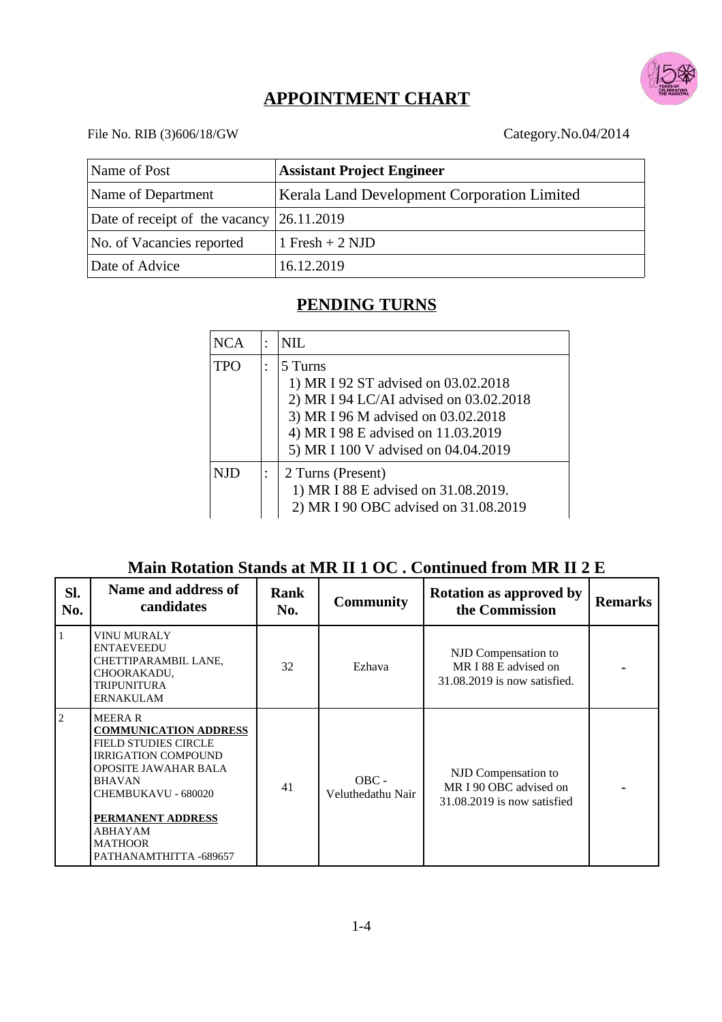

# **APPOINTMENT CHART**

#### File No. RIB (3)606/18/GW Category.No.04/2014

| Name of Post                                                             | <b>Assistant Project Engineer</b> |  |  |  |
|--------------------------------------------------------------------------|-----------------------------------|--|--|--|
| Name of Department<br><b>Kerala Land Development Corporation Limited</b> |                                   |  |  |  |
| Date of receipt of the vacancy                                           | 26.11.2019                        |  |  |  |
| No. of Vacancies reported                                                | 1 Fresh + 2 NJD                   |  |  |  |
| Date of Advice                                                           | 16.12.2019                        |  |  |  |

### **PENDING TURNS**

| <b>NCA</b> | $\bullet$                                                                                        | NIL.                                                                                                                                                                                                        |
|------------|--------------------------------------------------------------------------------------------------|-------------------------------------------------------------------------------------------------------------------------------------------------------------------------------------------------------------|
| <b>TPO</b> | $\bullet$                                                                                        | 5 Turns<br>1) MR I 92 ST advised on 03.02.2018<br>2) MR I 94 LC/AI advised on 03.02.2018<br>3) MR I 96 M advised on 03.02.2018<br>4) MR I 98 E advised on 11.03.2019<br>5) MR I 100 V advised on 04.04.2019 |
| NJD.       | 2 Turns (Present)<br>1) MR I 88 E advised on 31.08.2019.<br>2) MR I 90 OBC advised on 31.08.2019 |                                                                                                                                                                                                             |

## **Main Rotation Stands at MR II 1 OC . Continued from MR II 2 E**

| SI.<br>No.     | Name and address of<br>candidates                                                                                                                                                                                                                             | Rank<br>No. | <b>Community</b>             | <b>Rotation as approved by</b><br>the Commission                             | Remarks |
|----------------|---------------------------------------------------------------------------------------------------------------------------------------------------------------------------------------------------------------------------------------------------------------|-------------|------------------------------|------------------------------------------------------------------------------|---------|
| $\mathbf{1}$   | VINU MURALY<br><b>ENTAEVEEDU</b><br>CHETTIPARAMBIL LANE,<br>CHOORAKADU,<br><b>TRIPUNITURA</b><br><b>ERNAKULAM</b>                                                                                                                                             | 32          | Ezhava                       | NJD Compensation to<br>MR I 88 E advised on<br>31.08.2019 is now satisfied.  |         |
| $\overline{2}$ | <b>MEERAR</b><br><b>COMMUNICATION ADDRESS</b><br><b>FIELD STUDIES CIRCLE</b><br><b>IRRIGATION COMPOUND</b><br>OPOSITE JAWAHAR BALA<br><b>BHAVAN</b><br>CHEMBUKAVU - 680020<br><b>PERMANENT ADDRESS</b><br>ABHAYAM<br><b>MATHOOR</b><br>PATHANAMTHITTA -689657 | 41          | $OBC -$<br>Veluthedathu Nair | NJD Compensation to<br>MR I 90 OBC advised on<br>31.08.2019 is now satisfied |         |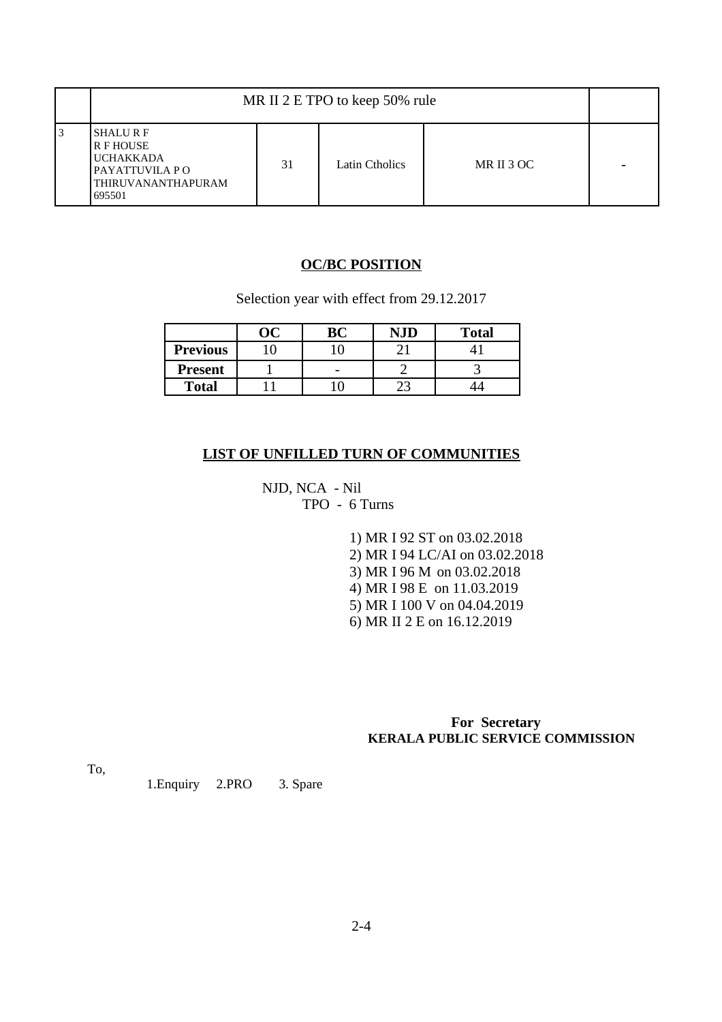|     | MR II 2 E TPO to keep 50% rule                                                                     |    |                       |            |   |
|-----|----------------------------------------------------------------------------------------------------|----|-----------------------|------------|---|
| l 3 | <b>SHALURE</b><br>R F HOUSE<br><b>UCHAKKADA</b><br>PAYATTUVILA P O<br>THIRUVANANTHAPURAM<br>695501 | 31 | <b>Latin Ctholics</b> | MR II 3 OC | - |

#### **OC/BC POSITION**

Selection year with effect from 29.12.2017

|                 | ÛĆ | <b>BC</b> | NID | <b>Total</b> |
|-----------------|----|-----------|-----|--------------|
| <b>Previous</b> |    |           |     |              |
| <b>Present</b>  |    | -         |     |              |
| <b>Total</b>    |    |           |     |              |

#### **LIST OF UNFILLED TURN OF COMMUNITIES**

NJD, NCA - Nil TPO - 6 Turns

> 1) MR I 92 ST on 03.02.2018 2) MR I 94 LC/AI on 03.02.2018 3) MR I 96 M on 03.02.2018 4) MR I 98 E on 11.03.2019 5) MR I 100 V on 04.04.2019 6) MR II 2 E on 16.12.2019

 **For Secretary KERALA PUBLIC SERVICE COMMISSION**

To,

1.Enquiry 2.PRO 3. Spare